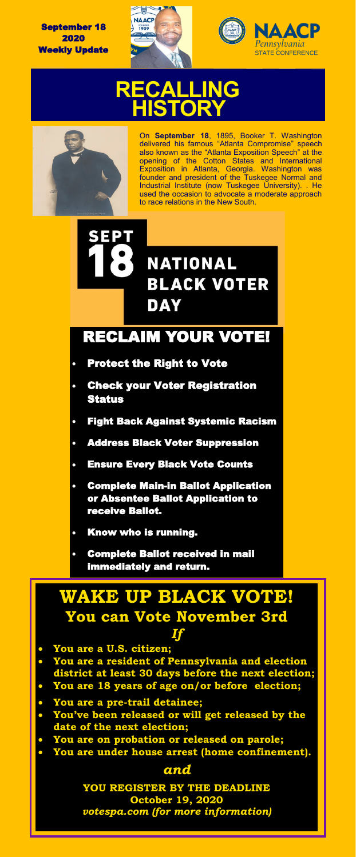September 18 2020 Weekly Update





# **HISTORY RECALLING**



On **September 18**, 1895, Booker T. Washington delivered his famous "Atlanta Compromise" speech also known as the "Atlanta Exposition Speech" at the opening of the Cotton States and International Exposition in Atlanta, Georgia. Washington was founder and president of the [Tuskegee Normal and](https://www.loc.gov/resource/pan.6a00201/?co=pan)  [Industrial Institute](https://www.loc.gov/resource/pan.6a00201/?co=pan) (now Tuskegee University). . He used the occasion to advocate a moderate approach to race relations in the New South.

# SEPT **NATIONAL BLACK VOTER DAY**

### RECLAIM YOUR VOTE!

- Protect the Right to Vote
- Check your Voter Registration Status
- Fight Back Against Systemic Racism
- Address Black Voter Suppression
- **Ensure Every Black Vote Counts**
- Complete Main-in Ballot Application or Absentee Ballot Application to receive Ballot.
- Know who is running.
- Complete Ballot received in mail immediately and return.

### **WAKE UP BLACK VOTE! You can Vote November 3rd**

#### *If*

- **You are a U.S. citizen;**
- **You are a resident of Pennsylvania and election**
- **district at least 30 days before the next election;** • **You are 18 years of age on/or before election;**
- **You are a pre-trail detainee;**
- **You've been released or will get released by the date of the next election;**
- **You are on probation or released on parole;**
- **You are under house arrest (home confinement).**

#### *and*

**YOU REGISTER BY THE DEADLINE October 19, 2020** *votespa.com (for more information)*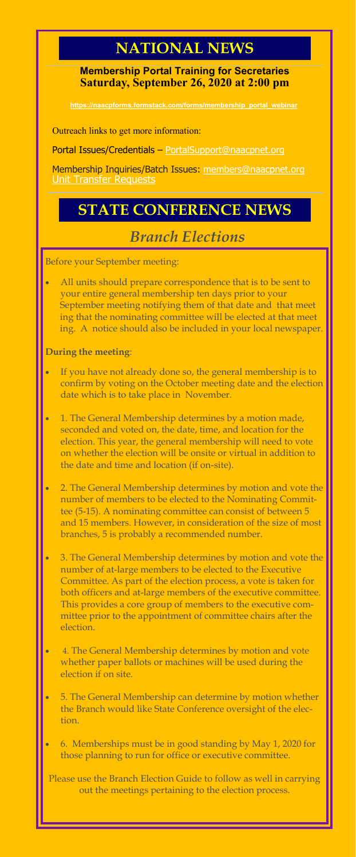## **NATIONAL NEWS**

**Membership Portal Training for Secretaries Saturday, September 26, 2020 at 2:00 pm**

.com/forms/memb

Outreach links to get more information:

Portal Issues/Credentials – [PortalSupport@naacpnet.org](mailto:PortalSupport@naacpnet.org)

Membership Inquiries/Batch Issues: [members@naacpnet.org](mailto:members@naacpnet.org) [Unit Transfer Requests](https://naacpforms.formstack.com/forms/unit_transfer_request)

## **STATE CONFERENCE NEWS**

### *Branch Elections*

Before your September meeting:

All units should prepare correspondence that is to be sent to your entire general membership ten days prior to your September meeting notifying them of that date and that meet ing that the nominating committee will be elected at that meet ing. A notice should also be included in your local newspaper.

**During the meeting**:

- If you have not already done so, the general membership is to confirm by voting on the October meeting date and the election date which is to take place in November.
- 1. The General Membership determines by a motion made, seconded and voted on, the date, time, and location for the election. This year, the general membership will need to vote on whether the election will be onsite or virtual in addition to the date and time and location (if on-site).
- 2. The General Membership determines by motion and vote the number of members to be elected to the Nominating Committee (5-15). A nominating committee can consist of between 5 and 15 members. However, in consideration of the size of most branches, 5 is probably a recommended number.
- 3. The General Membership determines by motion and vote the number of at-large members to be elected to the Executive Committee. As part of the election process, a vote is taken for both officers and at-large members of the executive committee. This provides a core group of members to the executive committee prior to the appointment of committee chairs after the election.
- 4. The General Membership determines by motion and vote whether paper ballots or machines will be used during the election if on site.
- 5. The General Membership can determine by motion whether the Branch would like State Conference oversight of the election.
- 6. Memberships must be in good standing by May 1, 2020 for those planning to run for office or executive committee.

Please use the Branch Election Guide to follow as well in carrying out the meetings pertaining to the election process.